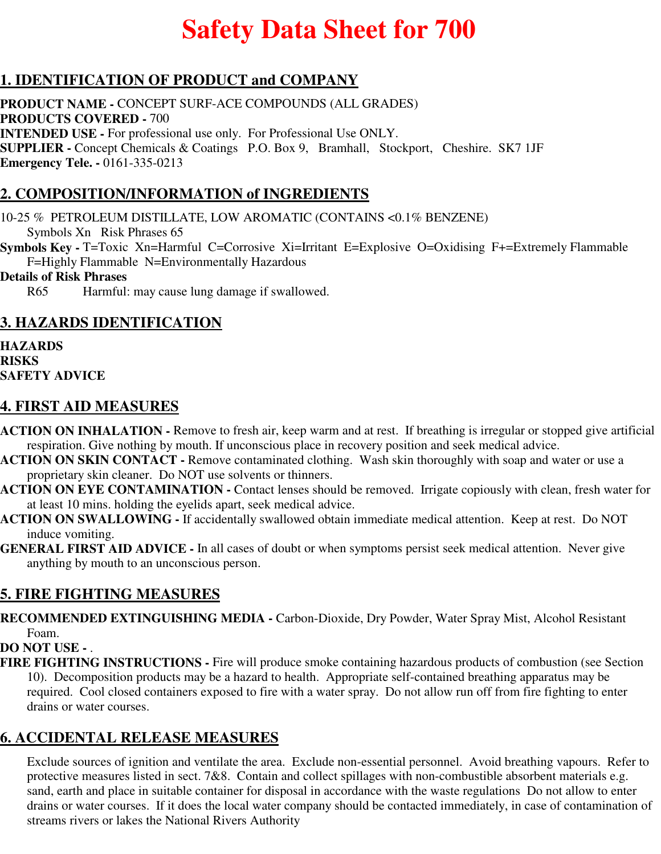# **Safety Data Sheet for 700**

# **1. IDENTIFICATION OF PRODUCT and COMPANY**

**PRODUCT NAME -** CONCEPT SURF-ACE COMPOUNDS (ALL GRADES) **PRODUCTS COVERED -** 700 **INTENDED USE -** For professional use only. For Professional Use ONLY. **SUPPLIER -** Concept Chemicals & Coatings P.O. Box 9, Bramhall, Stockport, Cheshire. SK7 1JF **Emergency Tele. -** 0161-335-0213

# **2. COMPOSITION/INFORMATION of INGREDIENTS**

10-25 % PETROLEUM DISTILLATE, LOW AROMATIC (CONTAINS <0.1% BENZENE) Symbols Xn Risk Phrases 65

**Symbols Key -** T=Toxic Xn=Harmful C=Corrosive Xi=Irritant E=Explosive O=Oxidising F+=Extremely Flammable F=Highly Flammable N=Environmentally Hazardous

#### **Details of Risk Phrases**

R65 Harmful: may cause lung damage if swallowed.

## **3. HAZARDS IDENTIFICATION**

**HAZARDS RISKS SAFETY ADVICE**

## **4. FIRST AID MEASURES**

- **ACTION ON INHALATION** Remove to fresh air, keep warm and at rest. If breathing is irregular or stopped give artificial respiration. Give nothing by mouth. If unconscious place in recovery position and seek medical advice.
- **ACTION ON SKIN CONTACT** Remove contaminated clothing. Wash skin thoroughly with soap and water or use a proprietary skin cleaner. Do NOT use solvents or thinners.
- **ACTION ON EYE CONTAMINATION** Contact lenses should be removed. Irrigate copiously with clean, fresh water for at least 10 mins. holding the eyelids apart, seek medical advice.
- **ACTION ON SWALLOWING** If accidentally swallowed obtain immediate medical attention. Keep at rest. Do NOT induce vomiting.
- **GENERAL FIRST AID ADVICE** In all cases of doubt or when symptoms persist seek medical attention. Never give anything by mouth to an unconscious person.

# **5. FIRE FIGHTING MEASURES**

**RECOMMENDED EXTINGUISHING MEDIA -** Carbon-Dioxide, Dry Powder, Water Spray Mist, Alcohol Resistant Foam.

### **DO NOT USE -** .

**FIRE FIGHTING INSTRUCTIONS -** Fire will produce smoke containing hazardous products of combustion (see Section 10). Decomposition products may be a hazard to health. Appropriate self-contained breathing apparatus may be required. Cool closed containers exposed to fire with a water spray. Do not allow run off from fire fighting to enter drains or water courses.

## **6. ACCIDENTAL RELEASE MEASURES**

Exclude sources of ignition and ventilate the area. Exclude non-essential personnel. Avoid breathing vapours. Refer to protective measures listed in sect. 7&8. Contain and collect spillages with non-combustible absorbent materials e.g. sand, earth and place in suitable container for disposal in accordance with the waste regulations Do not allow to enter drains or water courses. If it does the local water company should be contacted immediately, in case of contamination of streams rivers or lakes the National Rivers Authority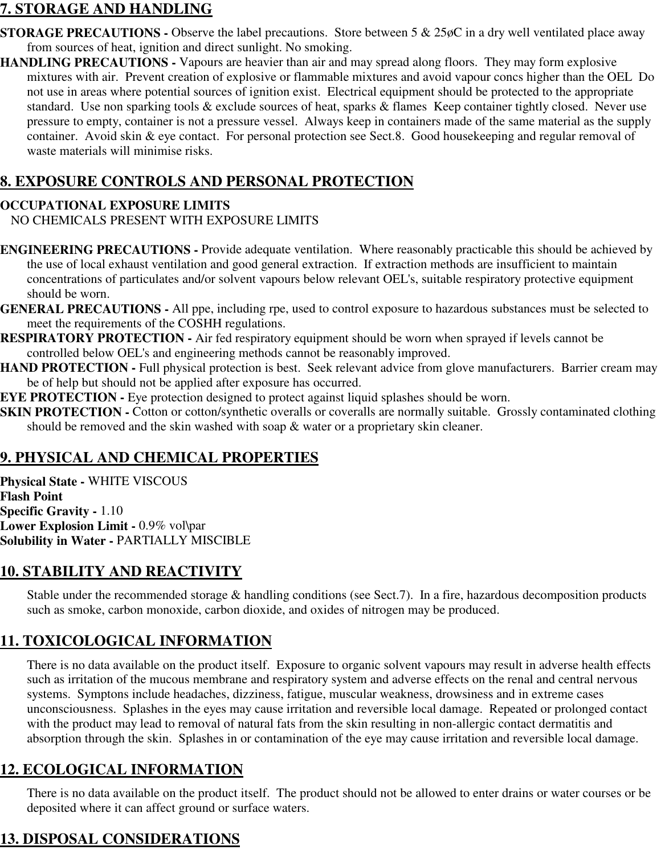## **7. STORAGE AND HANDLING**

- **STORAGE PRECAUTIONS -** Observe the label precautions. Store between 5 & 25øC in a dry well ventilated place away from sources of heat, ignition and direct sunlight. No smoking.
- **HANDLING PRECAUTIONS** Vapours are heavier than air and may spread along floors. They may form explosive mixtures with air. Prevent creation of explosive or flammable mixtures and avoid vapour concs higher than the OEL Do not use in areas where potential sources of ignition exist. Electrical equipment should be protected to the appropriate standard. Use non sparking tools & exclude sources of heat, sparks & flames Keep container tightly closed. Never use pressure to empty, container is not a pressure vessel. Always keep in containers made of the same material as the supply container. Avoid skin & eye contact. For personal protection see Sect.8. Good housekeeping and regular removal of waste materials will minimise risks.

## **8. EXPOSURE CONTROLS AND PERSONAL PROTECTION**

#### **OCCUPATIONAL EXPOSURE LIMITS**

NO CHEMICALS PRESENT WITH EXPOSURE LIMITS

- **ENGINEERING PRECAUTIONS** Provide adequate ventilation. Where reasonably practicable this should be achieved by the use of local exhaust ventilation and good general extraction. If extraction methods are insufficient to maintain concentrations of particulates and/or solvent vapours below relevant OEL's, suitable respiratory protective equipment should be worn.
- **GENERAL PRECAUTIONS** All ppe, including rpe, used to control exposure to hazardous substances must be selected to meet the requirements of the COSHH regulations.
- **RESPIRATORY PROTECTION** Air fed respiratory equipment should be worn when sprayed if levels cannot be controlled below OEL's and engineering methods cannot be reasonably improved.
- **HAND PROTECTION Full physical protection is best. Seek relevant advice from glove manufacturers. Barrier cream may** be of help but should not be applied after exposure has occurred.
- **EYE PROTECTION -** Eye protection designed to protect against liquid splashes should be worn.
- **SKIN PROTECTION -** Cotton or cotton/synthetic overalls or coveralls are normally suitable. Grossly contaminated clothing should be removed and the skin washed with soap & water or a proprietary skin cleaner.

# **9. PHYSICAL AND CHEMICAL PROPERTIES**

**Physical State -** WHITE VISCOUS **Flash Point Specific Gravity -** 1.10 **Lower Explosion Limit -** 0.9% vol\par **Solubility in Water -** PARTIALLY MISCIBLE

# **10. STABILITY AND REACTIVITY**

Stable under the recommended storage & handling conditions (see Sect.7). In a fire, hazardous decomposition products such as smoke, carbon monoxide, carbon dioxide, and oxides of nitrogen may be produced.

# **11. TOXICOLOGICAL INFORMATION**

There is no data available on the product itself. Exposure to organic solvent vapours may result in adverse health effects such as irritation of the mucous membrane and respiratory system and adverse effects on the renal and central nervous systems. Symptons include headaches, dizziness, fatigue, muscular weakness, drowsiness and in extreme cases unconsciousness. Splashes in the eyes may cause irritation and reversible local damage. Repeated or prolonged contact with the product may lead to removal of natural fats from the skin resulting in non-allergic contact dermatitis and absorption through the skin. Splashes in or contamination of the eye may cause irritation and reversible local damage.

## **12. ECOLOGICAL INFORMATION**

There is no data available on the product itself. The product should not be allowed to enter drains or water courses or be deposited where it can affect ground or surface waters.

# **13. DISPOSAL CONSIDERATIONS**